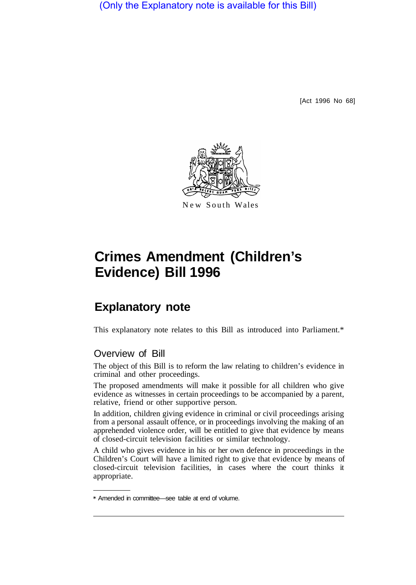(Only the Explanatory note is available for this Bill)

[Act 1996 No 68]



# **Crimes Amendment (Children's Evidence) Bill 1996**

# **Explanatory note**

This explanatory note relates to this Bill as introduced into Parliament.\*

# Overview of Bill

The object of this Bill is to reform the law relating to children's evidence in criminal and other proceedings.

The proposed amendments will make it possible for all children who give evidence as witnesses in certain proceedings to be accompanied by a parent, relative, friend or other supportive person.

In addition, children giving evidence in criminal or civil proceedings arising from a personal assault offence, or in proceedings involving the making of an apprehended violence order, will be entitled to give that evidence by means of closed-circuit television facilities or similar technology.

A child who gives evidence in his or her own defence in proceedings in the Children's Court will have a limited right to give that evidence by means of closed-circuit television facilities, in cases where the court thinks it appropriate.

<sup>\*</sup> Amended in committee—see table at end of volume.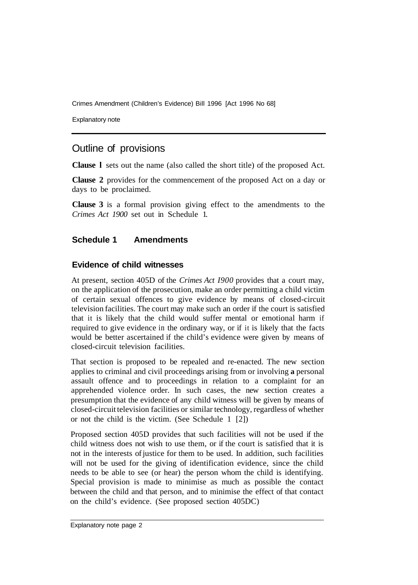Crimes Amendment (Children's Evidence) Bill 1996 [Act 1996 No 68]

Explanatory note

# Outline of provisions

**Clause l** sets out the name (also called the short title) of the proposed Act.

**Clause 2** provides for the commencement of the proposed Act on a day or days to be proclaimed.

**Clause 3** is a formal provision giving effect to the amendments to the *Crimes Act 1900* set out in Schedule 1.

# **Schedule 1 Amendments**

#### **Evidence of child witnesses**

At present, section 405D of the *Crimes Act I900* provides that a court may, on the application of the prosecution, make an order permitting a child victim of certain sexual offences to give evidence by means of closed-circuit television facilities. The court may make such an order if the court is satisfied that it is likely that the child would suffer mental or emotional harm if required to give evidence in the ordinary way, or if it is likely that the facts would be better ascertained if the child's evidence were given by means of closed-circuit television facilities.

That section is proposed to be repealed and re-enacted. The new section applies to criminal and civil proceedings arising from or involving **a** personal assault offence and to proceedings in relation to a complaint for an apprehended violence order. In such cases, the new section creates a presumption that the evidence of any child witness will be given by means of closed-circuit television facilities or similar technology, regardless of whether or not the child is the victim. (See Schedule 1 [2])

Proposed section 405D provides that such facilities will not be used if the child witness does not wish to use them, or if the court is satisfied that it is not in the interests of justice for them to be used. In addition, such facilities will not be used for the giving of identification evidence, since the child needs to be able to see (or hear) the person whom the child is identifying. Special provision is made to minimise as much as possible the contact between the child and that person, and to minimise the effect of that contact on the child's evidence. (See proposed section 405DC)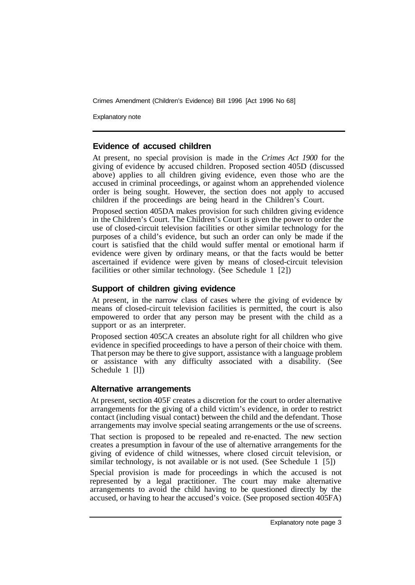Crimes Amendment (Children's Evidence) Bill 1996 [Act 1996 No 68]

Explanatory note

#### **Evidence of accused children**

At present, no special provision is made in the *Crimes Act 1900* for the giving of evidence by accused children. Proposed section 405D (discussed above) applies to all children giving evidence, even those who are the accused in criminal proceedings, or against whom an apprehended violence order is being sought. However, the section does not apply to accused children if the proceedings are being heard in the Children's Court.

Proposed section 405DA makes provision for such children giving evidence in the Children's Court. The Children's Court is given the power to order the use of closed-circuit television facilities or other similar technology for the purposes of a child's evidence, but such an order can only be made if the court is satisfied that the child would suffer mental or emotional harm if evidence were given by ordinary means, or that the facts would be better ascertained if evidence were given by means of closed-circuit television facilities or other similar technology. (See Schedule 1 [2])

## **Support of children giving evidence**

At present, in the narrow class of cases where the giving of evidence by means of closed-circuit television facilities is permitted, the court is also empowered to order that any person may be present with the child as a support or as an interpreter.

Proposed section 405CA creates an absolute right for all children who give evidence in specified proceedings to have a person of their choice with them. That person may be there to give support, assistance with a language problem or assistance with any difficulty associated with a disability. (See Schedule 1 [1])

## **Alternative arrangements**

At present, section 405F creates a discretion for the court to order alternative arrangements for the giving of a child victim's evidence, in order to restrict contact (including visual contact) between the child and the defendant. Those arrangements may involve special seating arrangements or the use of screens.

That section is proposed to be repealed and re-enacted. The new section creates a presumption in favour of the use of alternative arrangements for the giving of evidence of child witnesses, where closed circuit television, or similar technology, is not available or is not used. (See Schedule 1 [5])

Special provision is made for proceedings in which the accused is not represented by a legal practitioner. The court may make alternative arrangements to avoid the child having to be questioned directly by the accused, or having to hear the accused's voice. (See proposed section 405FA)